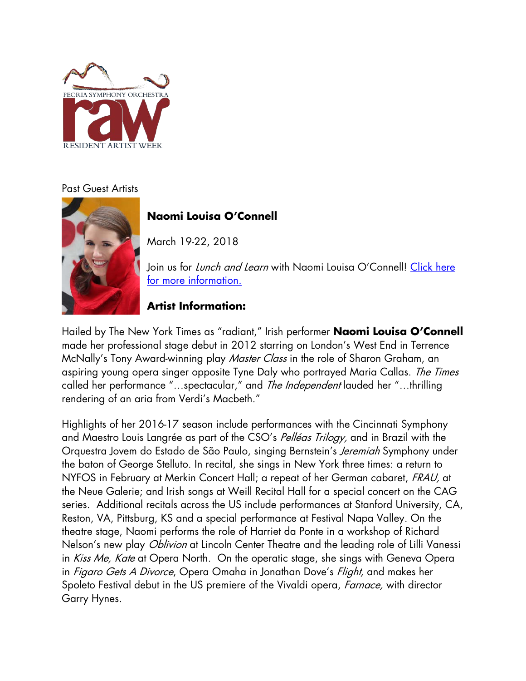

#### Past Guest Artists



# **Naomi Louisa O'Connell**

March 19-22, 2018

Join us for *Lunch and Learn* with Naomi Louisa O'Connell! Click here [for more information.](https://peoriasymphony.org/lunch-learn-naomi-louisa-oconnell/)

### **Artist Information:**

Hailed by The New York Times as "radiant," Irish performer **Naomi Louisa O'Connell** made her professional stage debut in 2012 starring on London's West End in Terrence McNally's Tony Award-winning play *Master Class* in the role of Sharon Graham, an aspiring young opera singer opposite Tyne Daly who portrayed Maria Callas. The Times called her performance "...spectacular," and The Independent lauded her "...thrilling rendering of an aria from Verdi's Macbeth."

Highlights of her 2016-17 season include performances with the Cincinnati Symphony and Maestro Louis Langrée as part of the CSO's *Pelléas Trilogy*, and in Brazil with the Orquestra Jovem do Estado de São Paulo, singing Bernstein's *Jeremiah* Symphony under the baton of George Stelluto. In recital, she sings in New York three times: a return to NYFOS in February at Merkin Concert Hall; a repeat of her German cabaret, FRAU, at the Neue Galerie; and Irish songs at Weill Recital Hall for a special concert on the CAG series. Additional recitals across the US include performances at Stanford University, CA, Reston, VA, Pittsburg, KS and a special performance at Festival Napa Valley. On the theatre stage, Naomi performs the role of Harriet da Ponte in a workshop of Richard Nelson's new play *Oblivion* at Lincoln Center Theatre and the leading role of Lilli Vanessi in Kiss Me, Kate at Opera North. On the operatic stage, she sings with Geneva Opera in Figaro Gets A Divorce, Opera Omaha in Jonathan Dove's Flight, and makes her Spoleto Festival debut in the US premiere of the Vivaldi opera, *Farnace*, with director Garry Hynes.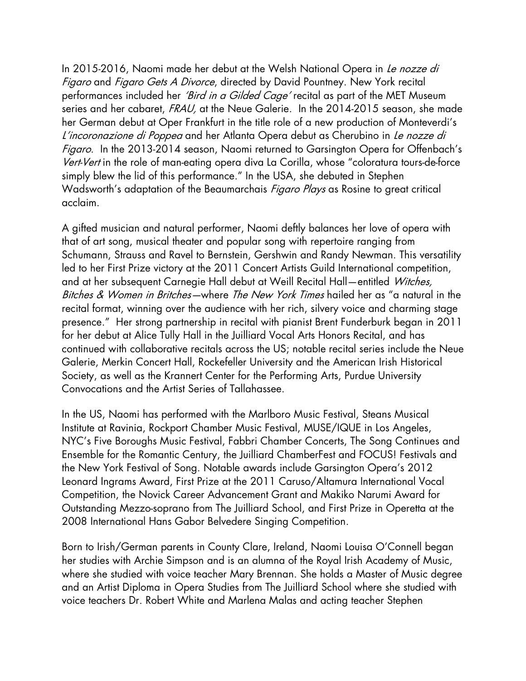In 2015-2016, Naomi made her debut at the Welsh National Opera in Le nozze di Figaro and Figaro Gets A Divorce, directed by David Pountney. New York recital performances included her *'Bird in a Gilded Cage'* recital as part of the MET Museum series and her cabaret, FRAU, at the Neue Galerie. In the 2014-2015 season, she made her German debut at Oper Frankfurt in the title role of a new production of Monteverdi's L'incoronazione di Poppea and her Atlanta Opera debut as Cherubino in Le nozze di Figaro. In the 2013-2014 season, Naomi returned to Garsington Opera for Offenbach's Vert-Vert in the role of man-eating opera diva La Corilla, whose "coloratura tours-de-force simply blew the lid of this performance." In the USA, she debuted in Stephen Wadsworth's adaptation of the Beaumarchais *Figaro Plays* as Rosine to great critical acclaim.

A gifted musician and natural performer, Naomi deftly balances her love of opera with that of art song, musical theater and popular song with repertoire ranging from Schumann, Strauss and Ravel to Bernstein, Gershwin and Randy Newman. This versatility led to her First Prize victory at the 2011 Concert Artists Guild International competition, and at her subsequent Carnegie Hall debut at Weill Recital Hall-entitled Witches, Bitches & Women in Britches—where The New York Times hailed her as "a natural in the recital format, winning over the audience with her rich, silvery voice and charming stage presence." Her strong partnership in recital with pianist Brent Funderburk began in 2011 for her debut at Alice Tully Hall in the Juilliard Vocal Arts Honors Recital, and has continued with collaborative recitals across the US; notable recital series include the Neue Galerie, Merkin Concert Hall, Rockefeller University and the American Irish Historical Society, as well as the Krannert Center for the Performing Arts, Purdue University Convocations and the Artist Series of Tallahassee.

In the US, Naomi has performed with the Marlboro Music Festival, Steans Musical Institute at Ravinia, Rockport Chamber Music Festival, MUSE/IQUE in Los Angeles, NYC's Five Boroughs Music Festival, Fabbri Chamber Concerts, The Song Continues and Ensemble for the Romantic Century, the Juilliard ChamberFest and FOCUS! Festivals and the New York Festival of Song. Notable awards include Garsington Opera's 2012 Leonard Ingrams Award, First Prize at the 2011 Caruso/Altamura International Vocal Competition, the Novick Career Advancement Grant and Makiko Narumi Award for Outstanding Mezzo-soprano from The Juilliard School, and First Prize in Operetta at the 2008 International Hans Gabor Belvedere Singing Competition.

Born to Irish/German parents in County Clare, Ireland, Naomi Louisa O'Connell began her studies with Archie Simpson and is an alumna of the Royal Irish Academy of Music, where she studied with voice teacher Mary Brennan. She holds a Master of Music degree and an Artist Diploma in Opera Studies from The Juilliard School where she studied with voice teachers Dr. Robert White and Marlena Malas and acting teacher Stephen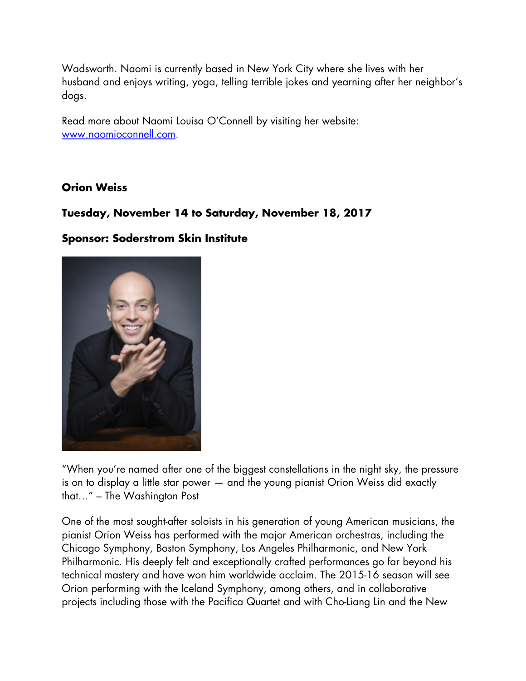Wadsworth. Naomi is currently based in New York City where she lives with her husband and enjoys writing, yoga, telling terrible jokes and yearning after her neighbor's dogs.

Read more about Naomi Louisa O'Connell by visiting her website: [www.naomioconnell.com.](http://www.naomioconnell.com/)

#### **Orion Weiss**

#### **Tuesday, November 14 to Saturday, November 18, 2017**

#### **Sponsor: Soderstrom Skin Institute**



"When you're named after one of the biggest constellations in the night sky, the pressure is on to display a little star power — and the young pianist Orion Weiss did exactly that…" – The Washington Post

One of the most sought-after soloists in his generation of young American musicians, the pianist Orion Weiss has performed with the major American orchestras, including the Chicago Symphony, Boston Symphony, Los Angeles Philharmonic, and New York Philharmonic. His deeply felt and exceptionally crafted performances go far beyond his technical mastery and have won him worldwide acclaim. The 2015-16 season will see Orion performing with the Iceland Symphony, among others, and in collaborative projects including those with the Pacifica Quartet and with Cho-Liang Lin and the New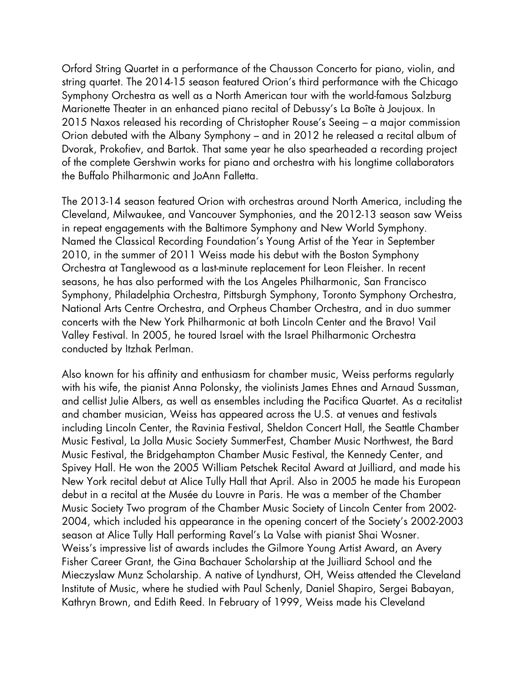Orford String Quartet in a performance of the Chausson Concerto for piano, violin, and string quartet. The 2014-15 season featured Orion's third performance with the Chicago Symphony Orchestra as well as a North American tour with the world-famous Salzburg Marionette Theater in an enhanced piano recital of Debussy's La Boîte à Joujoux. In 2015 Naxos released his recording of Christopher Rouse's Seeing – a major commission Orion debuted with the Albany Symphony – and in 2012 he released a recital album of Dvorak, Prokofiev, and Bartok. That same year he also spearheaded a recording project of the complete Gershwin works for piano and orchestra with his longtime collaborators the Buffalo Philharmonic and JoAnn Falletta.

The 2013-14 season featured Orion with orchestras around North America, including the Cleveland, Milwaukee, and Vancouver Symphonies, and the 2012-13 season saw Weiss in repeat engagements with the Baltimore Symphony and New World Symphony. Named the Classical Recording Foundation's Young Artist of the Year in September 2010, in the summer of 2011 Weiss made his debut with the Boston Symphony Orchestra at Tanglewood as a last-minute replacement for Leon Fleisher. In recent seasons, he has also performed with the Los Angeles Philharmonic, San Francisco Symphony, Philadelphia Orchestra, Pittsburgh Symphony, Toronto Symphony Orchestra, National Arts Centre Orchestra, and Orpheus Chamber Orchestra, and in duo summer concerts with the New York Philharmonic at both Lincoln Center and the Bravo! Vail Valley Festival. In 2005, he toured Israel with the Israel Philharmonic Orchestra conducted by Itzhak Perlman.

Also known for his affinity and enthusiasm for chamber music, Weiss performs regularly with his wife, the pianist Anna Polonsky, the violinists James Ehnes and Arnaud Sussman, and cellist Julie Albers, as well as ensembles including the Pacifica Quartet. As a recitalist and chamber musician, Weiss has appeared across the U.S. at venues and festivals including Lincoln Center, the Ravinia Festival, Sheldon Concert Hall, the Seattle Chamber Music Festival, La Jolla Music Society SummerFest, Chamber Music Northwest, the Bard Music Festival, the Bridgehampton Chamber Music Festival, the Kennedy Center, and Spivey Hall. He won the 2005 William Petschek Recital Award at Juilliard, and made his New York recital debut at Alice Tully Hall that April. Also in 2005 he made his European debut in a recital at the Musée du Louvre in Paris. He was a member of the Chamber Music Society Two program of the Chamber Music Society of Lincoln Center from 2002- 2004, which included his appearance in the opening concert of the Society's 2002-2003 season at Alice Tully Hall performing Ravel's La Valse with pianist Shai Wosner. Weiss's impressive list of awards includes the Gilmore Young Artist Award, an Avery Fisher Career Grant, the Gina Bachauer Scholarship at the Juilliard School and the Mieczyslaw Munz Scholarship. A native of Lyndhurst, OH, Weiss attended the Cleveland Institute of Music, where he studied with Paul Schenly, Daniel Shapiro, Sergei Babayan, Kathryn Brown, and Edith Reed. In February of 1999, Weiss made his Cleveland